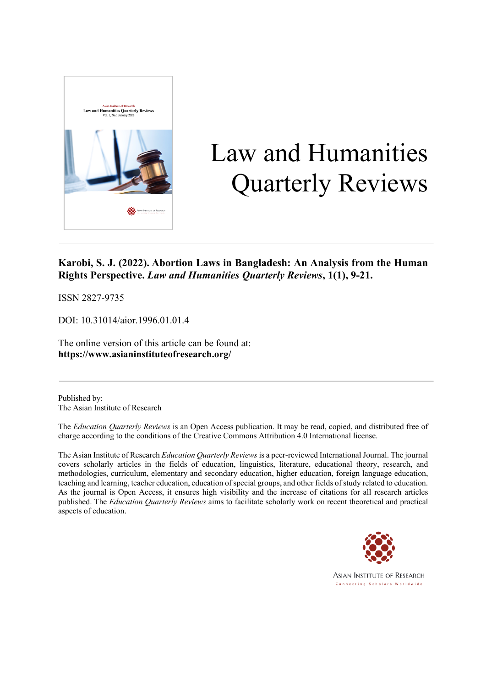

# Law and Humanities Quarterly Reviews

# **Karobi, S. J. (2022). Abortion Laws in Bangladesh: An Analysis from the Human Rights Perspective.** *Law and Humanities Quarterly Reviews***, 1(1), 9-21.**

ISSN 2827-9735

DOI: 10.31014/aior.1996.01.01.4

The online version of this article can be found at: **https://www.asianinstituteofresearch.org/**

Published by: The Asian Institute of Research

The *Education Quarterly Reviews* is an Open Access publication. It may be read, copied, and distributed free of charge according to the conditions of the Creative Commons Attribution 4.0 International license.

The Asian Institute of Research *Education Quarterly Reviews* is a peer-reviewed International Journal. The journal covers scholarly articles in the fields of education, linguistics, literature, educational theory, research, and methodologies, curriculum, elementary and secondary education, higher education, foreign language education, teaching and learning, teacher education, education of special groups, and other fields of study related to education. As the journal is Open Access, it ensures high visibility and the increase of citations for all research articles published. The *Education Quarterly Reviews* aims to facilitate scholarly work on recent theoretical and practical aspects of education.

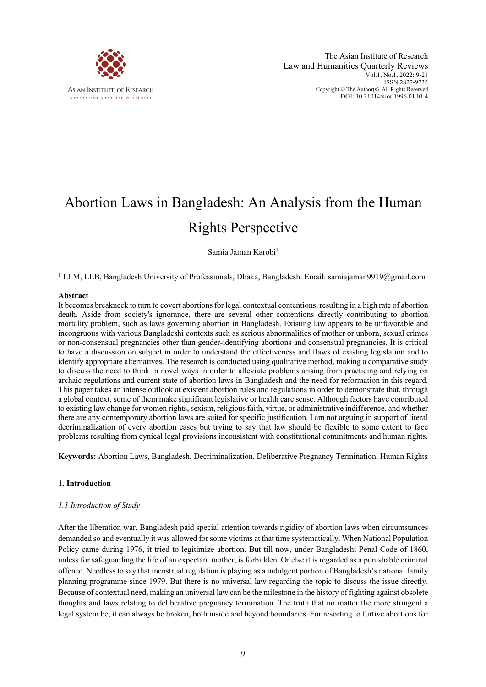

# Abortion Laws in Bangladesh: An Analysis from the Human Rights Perspective

Samia Jaman Karobi<sup>1</sup>

<sup>1</sup> LLM, LLB, Bangladesh University of Professionals, Dhaka, Bangladesh. Email: samiajaman9919@gmail.com

#### **Abstract**

It becomes breakneck to turn to covert abortions for legal contextual contentions, resulting in a high rate of abortion death. Aside from society's ignorance, there are several other contentions directly contributing to abortion mortality problem, such as laws governing abortion in Bangladesh. Existing law appears to be unfavorable and incongruous with various Bangladeshi contexts such as serious abnormalities of mother or unborn, sexual crimes or non-consensual pregnancies other than gender-identifying abortions and consensual pregnancies. It is critical to have a discussion on subject in order to understand the effectiveness and flaws of existing legislation and to identify appropriate alternatives. The research is conducted using qualitative method, making a comparative study to discuss the need to think in novel ways in order to alleviate problems arising from practicing and relying on archaic regulations and current state of abortion laws in Bangladesh and the need for reformation in this regard. This paper takes an intense outlook at existent abortion rules and regulations in order to demonstrate that, through a global context, some of them make significant legislative or health care sense. Although factors have contributed to existing law change for women rights, sexism, religious faith, virtue, or administrative indifference, and whether there are any contemporary abortion laws are suited for specific justification. I am not arguing in support of literal decriminalization of every abortion cases but trying to say that law should be flexible to some extent to face problems resulting from cynical legal provisions inconsistent with constitutional commitments and human rights.

**Keywords:** Abortion Laws, Bangladesh, Decriminalization, Deliberative Pregnancy Termination, Human Rights

#### **1. Introduction**

#### *1.1 Introduction of Study*

After the liberation war, Bangladesh paid special attention towards rigidity of abortion laws when circumstances demanded so and eventually it was allowed for some victims at that time systematically. When National Population Policy came during 1976, it tried to legitimize abortion. But till now, under Bangladeshi Penal Code of 1860, unless for safeguarding the life of an expectant mother, is forbidden. Or else it is regarded as a punishable criminal offence. Needless to say that menstrual regulation is playing as a indulgent portion of Bangladesh's national family planning programme since 1979. But there is no universal law regarding the topic to discuss the issue directly. Because of contextual need, making an universal law can be the milestone in the history of fighting against obsolete thoughts and laws relating to deliberative pregnancy termination. The truth that no matter the more stringent a legal system be, it can always be broken, both inside and beyond boundaries. For resorting to furtive abortions for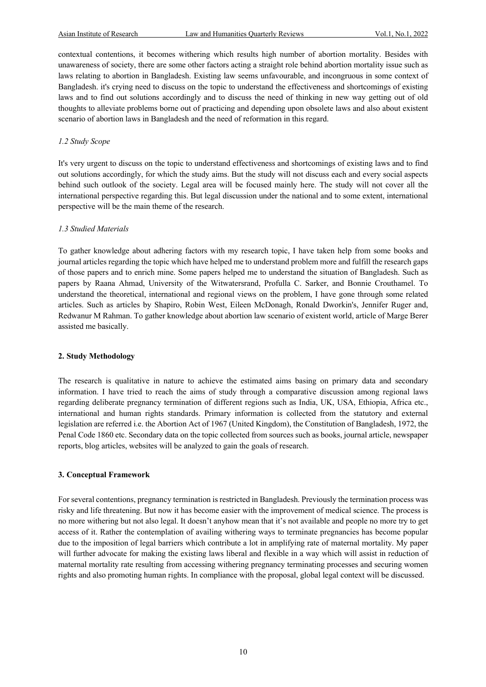contextual contentions, it becomes withering which results high number of abortion mortality. Besides with unawareness of society, there are some other factors acting a straight role behind abortion mortality issue such as laws relating to abortion in Bangladesh. Existing law seems unfavourable, and incongruous in some context of Bangladesh. it's crying need to discuss on the topic to understand the effectiveness and shortcomings of existing laws and to find out solutions accordingly and to discuss the need of thinking in new way getting out of old thoughts to alleviate problems borne out of practicing and depending upon obsolete laws and also about existent scenario of abortion laws in Bangladesh and the need of reformation in this regard.

# *1.2 Study Scope*

It's very urgent to discuss on the topic to understand effectiveness and shortcomings of existing laws and to find out solutions accordingly, for which the study aims. But the study will not discuss each and every social aspects behind such outlook of the society. Legal area will be focused mainly here. The study will not cover all the international perspective regarding this. But legal discussion under the national and to some extent, international perspective will be the main theme of the research.

# *1.3 Studied Materials*

To gather knowledge about adhering factors with my research topic, I have taken help from some books and journal articles regarding the topic which have helped me to understand problem more and fulfill the research gaps of those papers and to enrich mine. Some papers helped me to understand the situation of Bangladesh. Such as papers by Raana Ahmad, University of the Witwatersrand, Profulla C. Sarker, and Bonnie Crouthamel. To understand the theoretical, international and regional views on the problem, I have gone through some related articles. Such as articles by Shapiro, Robin West, Eileen McDonagh, Ronald Dworkin's, Jennifer Ruger and, Redwanur M Rahman. To gather knowledge about abortion law scenario of existent world, article of Marge Berer assisted me basically.

#### **2. Study Methodology**

The research is qualitative in nature to achieve the estimated aims basing on primary data and secondary information. I have tried to reach the aims of study through a comparative discussion among regional laws regarding deliberate pregnancy termination of different regions such as India, UK, USA, Ethiopia, Africa etc., international and human rights standards. Primary information is collected from the statutory and external legislation are referred i.e. the Abortion Act of 1967 (United Kingdom), the Constitution of Bangladesh, 1972, the Penal Code 1860 etc. Secondary data on the topic collected from sources such as books, journal article, newspaper reports, blog articles, websites will be analyzed to gain the goals of research.

# **3. Conceptual Framework**

For several contentions, pregnancy termination is restricted in Bangladesh. Previously the termination process was risky and life threatening. But now it has become easier with the improvement of medical science. The process is no more withering but not also legal. It doesn't anyhow mean that it's not available and people no more try to get access of it. Rather the contemplation of availing withering ways to terminate pregnancies has become popular due to the imposition of legal barriers which contribute a lot in amplifying rate of maternal mortality. My paper will further advocate for making the existing laws liberal and flexible in a way which will assist in reduction of maternal mortality rate resulting from accessing withering pregnancy terminating processes and securing women rights and also promoting human rights. In compliance with the proposal, global legal context will be discussed.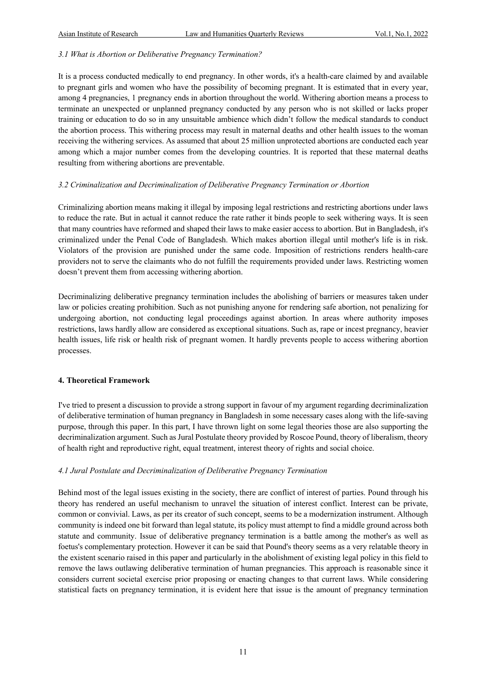# *3.1 What is Abortion or Deliberative Pregnancy Termination?*

It is a process conducted medically to end pregnancy. In other words, it's a health-care claimed by and available to pregnant girls and women who have the possibility of becoming pregnant. It is estimated that in every year, among 4 pregnancies, 1 pregnancy ends in abortion throughout the world. Withering abortion means a process to terminate an unexpected or unplanned pregnancy conducted by any person who is not skilled or lacks proper training or education to do so in any unsuitable ambience which didn't follow the medical standards to conduct the abortion process. This withering process may result in maternal deaths and other health issues to the woman receiving the withering services. As assumed that about 25 million unprotected abortions are conducted each year among which a major number comes from the developing countries. It is reported that these maternal deaths resulting from withering abortions are preventable.

# *3.2 Criminalization and Decriminalization of Deliberative Pregnancy Termination or Abortion*

Criminalizing abortion means making it illegal by imposing legal restrictions and restricting abortions under laws to reduce the rate. But in actual it cannot reduce the rate rather it binds people to seek withering ways. It is seen that many countries have reformed and shaped their laws to make easier access to abortion. But in Bangladesh, it's criminalized under the Penal Code of Bangladesh. Which makes abortion illegal until mother's life is in risk. Violators of the provision are punished under the same code. Imposition of restrictions renders health-care providers not to serve the claimants who do not fulfill the requirements provided under laws. Restricting women doesn't prevent them from accessing withering abortion.

Decriminalizing deliberative pregnancy termination includes the abolishing of barriers or measures taken under law or policies creating prohibition. Such as not punishing anyone for rendering safe abortion, not penalizing for undergoing abortion, not conducting legal proceedings against abortion. In areas where authority imposes restrictions, laws hardly allow are considered as exceptional situations. Such as, rape or incest pregnancy, heavier health issues, life risk or health risk of pregnant women. It hardly prevents people to access withering abortion processes.

# **4. Theoretical Framework**

I've tried to present a discussion to provide a strong support in favour of my argument regarding decriminalization of deliberative termination of human pregnancy in Bangladesh in some necessary cases along with the life-saving purpose, through this paper. In this part, I have thrown light on some legal theories those are also supporting the decriminalization argument. Such as Jural Postulate theory provided by Roscoe Pound, theory of liberalism, theory of health right and reproductive right, equal treatment, interest theory of rights and social choice.

# *4.1 Jural Postulate and Decriminalization of Deliberative Pregnancy Termination*

Behind most of the legal issues existing in the society, there are conflict of interest of parties. Pound through his theory has rendered an useful mechanism to unravel the situation of interest conflict. Interest can be private, common or convivial. Laws, as per its creator of such concept, seems to be a modernization instrument. Although community is indeed one bit forward than legal statute, its policy must attempt to find a middle ground across both statute and community. Issue of deliberative pregnancy termination is a battle among the mother's as well as foetus's complementary protection. However it can be said that Pound's theory seems as a very relatable theory in the existent scenario raised in this paper and particularly in the abolishment of existing legal policy in this field to remove the laws outlawing deliberative termination of human pregnancies. This approach is reasonable since it considers current societal exercise prior proposing or enacting changes to that current laws. While considering statistical facts on pregnancy termination, it is evident here that issue is the amount of pregnancy termination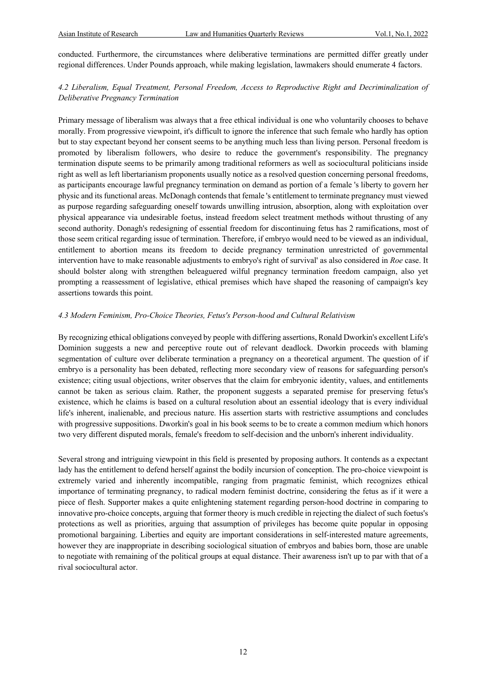conducted. Furthermore, the circumstances where deliberative terminations are permitted differ greatly under regional differences. Under Pounds approach, while making legislation, lawmakers should enumerate 4 factors.

# *4.2 Liberalism, Equal Treatment, Personal Freedom, Access to Reproductive Right and Decriminalization of Deliberative Pregnancy Termination*

Primary message of liberalism was always that a free ethical individual is one who voluntarily chooses to behave morally. From progressive viewpoint, it's difficult to ignore the inference that such female who hardly has option but to stay expectant beyond her consent seems to be anything much less than living person. Personal freedom is promoted by liberalism followers, who desire to reduce the government's responsibility. The pregnancy termination dispute seems to be primarily among traditional reformers as well as sociocultural politicians inside right as well as left libertarianism proponents usually notice as a resolved question concerning personal freedoms, as participants encourage lawful pregnancy termination on demand as portion of a female 's liberty to govern her physic and its functional areas. McDonagh contends that female 's entitlement to terminate pregnancy must viewed as purpose regarding safeguarding oneself towards unwilling intrusion, absorption, along with exploitation over physical appearance via undesirable foetus, instead freedom select treatment methods without thrusting of any second authority. Donagh's redesigning of essential freedom for discontinuing fetus has 2 ramifications, most of those seem critical regarding issue of termination. Therefore, if embryo would need to be viewed as an individual, entitlement to abortion means its freedom to decide pregnancy termination unrestricted of governmental intervention have to make reasonable adjustments to embryo's right of survival' as also considered in *Roe* case. It should bolster along with strengthen beleaguered wilful pregnancy termination freedom campaign, also yet prompting a reassessment of legislative, ethical premises which have shaped the reasoning of campaign's key assertions towards this point.

#### *4.3 Modern Feminism, Pro-Choice Theories, Fetus's Person-hood and Cultural Relativism*

By recognizing ethical obligations conveyed by people with differing assertions, Ronald Dworkin's excellent Life's Dominion suggests a new and perceptive route out of relevant deadlock. Dworkin proceeds with blaming segmentation of culture over deliberate termination a pregnancy on a theoretical argument. The question of if embryo is a personality has been debated, reflecting more secondary view of reasons for safeguarding person's existence; citing usual objections, writer observes that the claim for embryonic identity, values, and entitlements cannot be taken as serious claim. Rather, the proponent suggests a separated premise for preserving fetus's existence, which he claims is based on a cultural resolution about an essential ideology that is every individual life's inherent, inalienable, and precious nature. His assertion starts with restrictive assumptions and concludes with progressive suppositions. Dworkin's goal in his book seems to be to create a common medium which honors two very different disputed morals, female's freedom to self-decision and the unborn's inherent individuality.

Several strong and intriguing viewpoint in this field is presented by proposing authors. It contends as a expectant lady has the entitlement to defend herself against the bodily incursion of conception. The pro-choice viewpoint is extremely varied and inherently incompatible, ranging from pragmatic feminist, which recognizes ethical importance of terminating pregnancy, to radical modern feminist doctrine, considering the fetus as if it were a piece of flesh. Supporter makes a quite enlightening statement regarding person-hood doctrine in comparing to innovative pro-choice concepts, arguing that former theory is much credible in rejecting the dialect of such foetus's protections as well as priorities, arguing that assumption of privileges has become quite popular in opposing promotional bargaining. Liberties and equity are important considerations in self-interested mature agreements, however they are inappropriate in describing sociological situation of embryos and babies born, those are unable to negotiate with remaining of the political groups at equal distance. Their awareness isn't up to par with that of a rival sociocultural actor.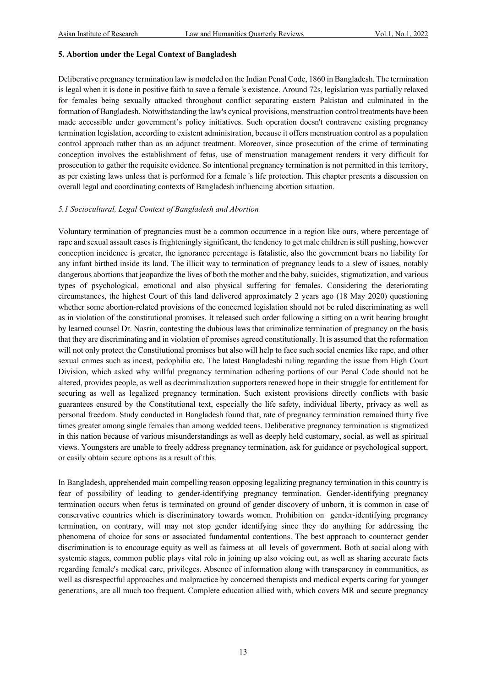#### **5. Abortion under the Legal Context of Bangladesh**

Deliberative pregnancy termination law is modeled on the Indian Penal Code, 1860 in Bangladesh. The termination is legal when it is done in positive faith to save a female 's existence. Around 72s, legislation was partially relaxed for females being sexually attacked throughout conflict separating eastern Pakistan and culminated in the formation of Bangladesh. Notwithstanding the law's cynical provisions, menstruation control treatments have been made accessible under government's policy initiatives. Such operation doesn't contravene existing pregnancy termination legislation, according to existent administration, because it offers menstruation control as a population control approach rather than as an adjunct treatment. Moreover, since prosecution of the crime of terminating conception involves the establishment of fetus, use of menstruation management renders it very difficult for prosecution to gather the requisite evidence. So intentional pregnancy termination is not permitted in this territory, as per existing laws unless that is performed for a female 's life protection. This chapter presents a discussion on overall legal and coordinating contexts of Bangladesh influencing abortion situation.

#### *5.1 Sociocultural, Legal Context of Bangladesh and Abortion*

Voluntary termination of pregnancies must be a common occurrence in a region like ours, where percentage of rape and sexual assault cases is frighteningly significant, the tendency to get male children is still pushing, however conception incidence is greater, the ignorance percentage is fatalistic, also the government bears no liability for any infant birthed inside its land. The illicit way to termination of pregnancy leads to a slew of issues, notably dangerous abortions that jeopardize the lives of both the mother and the baby, suicides, stigmatization, and various types of psychological, emotional and also physical suffering for females. Considering the deteriorating circumstances, the highest Court of this land delivered approximately 2 years ago (18 May 2020) questioning whether some abortion-related provisions of the concerned legislation should not be ruled discriminating as well as in violation of the constitutional promises. It released such order following a sitting on a writ hearing brought by learned counsel Dr. Nasrin, contesting the dubious laws that criminalize termination of pregnancy on the basis that they are discriminating and in violation of promises agreed constitutionally. It is assumed that the reformation will not only protect the Constitutional promises but also will help to face such social enemies like rape, and other sexual crimes such as incest, pedophilia etc. The latest Bangladeshi ruling regarding the issue from High Court Division, which asked why willful pregnancy termination adhering portions of our Penal Code should not be altered, provides people, as well as decriminalization supporters renewed hope in their struggle for entitlement for securing as well as legalized pregnancy termination. Such existent provisions directly conflicts with basic guarantees ensured by the Constitutional text, especially the life safety, individual liberty, privacy as well as personal freedom. Study conducted in Bangladesh found that, rate of pregnancy termination remained thirty five times greater among single females than among wedded teens. Deliberative pregnancy termination is stigmatized in this nation because of various misunderstandings as well as deeply held customary, social, as well as spiritual views. Youngsters are unable to freely address pregnancy termination, ask for guidance or psychological support, or easily obtain secure options as a result of this.

In Bangladesh, apprehended main compelling reason opposing legalizing pregnancy termination in this country is fear of possibility of leading to gender-identifying pregnancy termination. Gender-identifying pregnancy termination occurs when fetus is terminated on ground of gender discovery of unborn, it is common in case of conservative countries which is discriminatory towards women. Prohibition on gender-identifying pregnancy termination, on contrary, will may not stop gender identifying since they do anything for addressing the phenomena of choice for sons or associated fundamental contentions. The best approach to counteract gender discrimination is to encourage equity as well as fairness at all levels of government. Both at social along with systemic stages, common public plays vital role in joining up also voicing out, as well as sharing accurate facts regarding female's medical care, privileges. Absence of information along with transparency in communities, as well as disrespectful approaches and malpractice by concerned therapists and medical experts caring for younger generations, are all much too frequent. Complete education allied with, which covers MR and secure pregnancy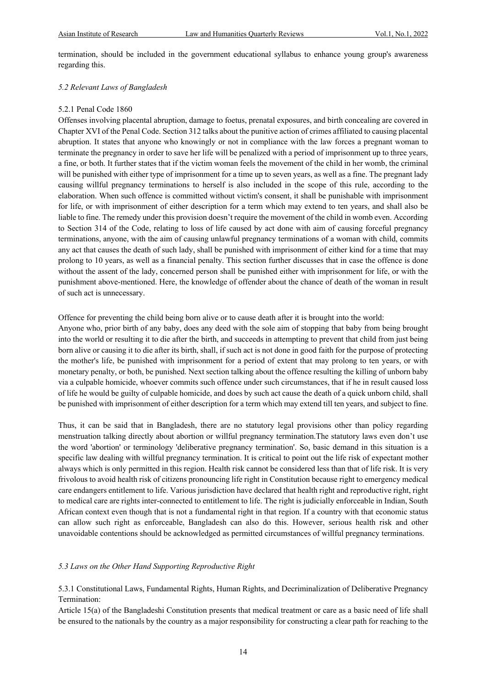termination, should be included in the government educational syllabus to enhance young group's awareness regarding this.

#### *5.2 Relevant Laws of Bangladesh*

#### 5.2.1 Penal Code 1860

Offenses involving placental abruption, damage to foetus, prenatal exposures, and birth concealing are covered in Chapter XVI of the Penal Code. Section 312 talks about the punitive action of crimes affiliated to causing placental abruption. It states that anyone who knowingly or not in compliance with the law forces a pregnant woman to terminate the pregnancy in order to save her life will be penalized with a period of imprisonment up to three years, a fine, or both. It further states that if the victim woman feels the movement of the child in her womb, the criminal will be punished with either type of imprisonment for a time up to seven years, as well as a fine. The pregnant lady causing willful pregnancy terminations to herself is also included in the scope of this rule, according to the elaboration. When such offence is committed without victim's consent, it shall be punishable with imprisonment for life, or with imprisonment of either description for a term which may extend to ten years, and shall also be liable to fine. The remedy under this provision doesn't require the movement of the child in womb even. According to Section 314 of the Code, relating to loss of life caused by act done with aim of causing forceful pregnancy terminations, anyone, with the aim of causing unlawful pregnancy terminations of a woman with child, commits any act that causes the death of such lady, shall be punished with imprisonment of either kind for a time that may prolong to 10 years, as well as a financial penalty. This section further discusses that in case the offence is done without the assent of the lady, concerned person shall be punished either with imprisonment for life, or with the punishment above-mentioned. Here, the knowledge of offender about the chance of death of the woman in result of such act is unnecessary.

Offence for preventing the child being born alive or to cause death after it is brought into the world:

Anyone who, prior birth of any baby, does any deed with the sole aim of stopping that baby from being brought into the world or resulting it to die after the birth, and succeeds in attempting to prevent that child from just being born alive or causing it to die after its birth, shall, if such act is not done in good faith for the purpose of protecting the mother's life, be punished with imprisonment for a period of extent that may prolong to ten years, or with monetary penalty, or both, be punished. Next section talking about the offence resulting the killing of unborn baby via a culpable homicide, whoever commits such offence under such circumstances, that if he in result caused loss of life he would be guilty of culpable homicide, and does by such act cause the death of a quick unborn child, shall be punished with imprisonment of either description for a term which may extend till ten years, and subject to fine.

Thus, it can be said that in Bangladesh, there are no statutory legal provisions other than policy regarding menstruation talking directly about abortion or willful pregnancy termination.The statutory laws even don't use the word 'abortion' or terminology 'deliberative pregnancy termination'. So, basic demand in this situation is a specific law dealing with willful pregnancy termination. It is critical to point out the life risk of expectant mother always which is only permitted in this region. Health risk cannot be considered less than that of life risk. It is very frivolous to avoid health risk of citizens pronouncing life right in Constitution because right to emergency medical care endangers entitlement to life. Various jurisdiction have declared that health right and reproductive right, right to medical care are rights inter-connected to entitlement to life. The right is judicially enforceable in Indian, South African context even though that is not a fundamental right in that region. If a country with that economic status can allow such right as enforceable, Bangladesh can also do this. However, serious health risk and other unavoidable contentions should be acknowledged as permitted circumstances of willful pregnancy terminations.

#### *5.3 Laws on the Other Hand Supporting Reproductive Right*

5.3.1 Constitutional Laws, Fundamental Rights, Human Rights, and Decriminalization of Deliberative Pregnancy Termination:

Article 15(a) of the Bangladeshi Constitution presents that medical treatment or care as a basic need of life shall be ensured to the nationals by the country as a major responsibility for constructing a clear path for reaching to the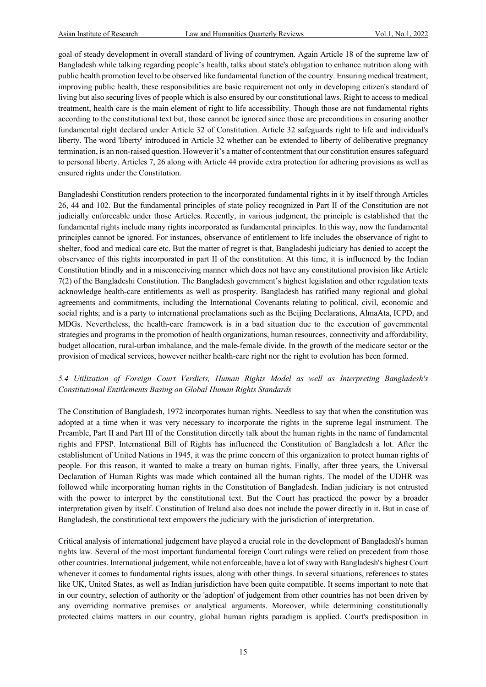goal of steady development in overall standard of living of countrymen. Again Article 18 of the supreme law of Bangladesh while talking regarding people's health, talks about state's obligation to enhance nutrition along with public health promotion level to be observed like fundamental function of the country. Ensuring medical treatment, improving public health, these responsibilities are basic requirement not only in developing citizen's standard of living but also securing lives of people which is also ensured by our constitutional laws. Right to access to medical treatment, health care is the main element of right to life accessibility. Though those are not fundamental rights according to the constitutional text but, those cannot be ignored since those are preconditions in ensuring another fundamental right declared under Article 32 of Constitution. Article 32 safeguards right to life and individual's liberty. The word 'liberty' introduced in Article 32 whether can be extended to liberty of deliberative pregnancy termination, is an non-raised question. However it's a matter of contentment that our constitution ensures safeguard to personal liberty. Articles 7, 26 along with Article 44 provide extra protection for adhering provisions as well as ensured rights under the Constitution.

Bangladeshi Constitution renders protection to the incorporated fundamental rights in it by itself through Articles 26, 44 and 102. But the fundamental principles of state policy recognized in Part II of the Constitution are not judicially enforceable under those Articles. Recently, in various judgment, the principle is established that the fundamental rights include many rights incorporated as fundamental principles. In this way, now the fundamental principles cannot be ignored. For instances, observance of entitlement to life includes the observance of right to shelter, food and medical care etc. But the matter of regret is that, Bangladeshi judiciary has denied to accept the observance of this rights incorporated in part II of the constitution. At this time, it is influenced by the Indian Constitution blindly and in a misconceiving manner which does not have any constitutional provision like Article 7(2) of the Bangladeshi Constitution. The Bangladesh government's highest legislation and other regulation texts acknowledge health-care entitlements as well as prosperity. Bangladesh has ratified many regional and global agreements and commitments, including the International Covenants relating to political, civil, economic and social rights; and is a party to international proclamations such as the Beijing Declarations, AlmaAta, ICPD, and MDGs. Nevertheless, the health-care framework is in a bad situation due to the execution of governmental strategies and programs in the promotion of health organizations, human resources, connectivity and affordability, budget allocation, rural-urban imbalance, and the male-female divide. In the growth of the medicare sector or the provision of medical services, however neither health-care right nor the right to evolution has been formed.

# *5.4 Utilization of Foreign Court Verdicts, Human Rights Model as well as Interpreting Bangladesh's Constitutional Entitlements Basing on Global Human Rights Standards*

The Constitution of Bangladesh, 1972 incorporates human rights. Needless to say that when the constitution was adopted at a time when it was very necessary to incorporate the rights in the supreme legal instrument. The Preamble, Part II and Part III of the Constitution directly talk about the human rights in the name of fundamental rights and FPSP. International Bill of Rights has influenced the Constitution of Bangladesh a lot. After the establishment of United Nations in 1945, it was the prime concern of this organization to protect human rights of people. For this reason, it wanted to make a treaty on human rights. Finally, after three years, the Universal Declaration of Human Rights was made which contained all the human rights. The model of the UDHR was followed while incorporating human rights in the Constitution of Bangladesh. Indian judiciary is not entrusted with the power to interpret by the constitutional text. But the Court has practiced the power by a broader interpretation given by itself. Constitution of Ireland also does not include the power directly in it. But in case of Bangladesh, the constitutional text empowers the judiciary with the jurisdiction of interpretation.

Critical analysis of international judgement have played a crucial role in the development of Bangladesh's human rights law. Several of the most important fundamental foreign Court rulings were relied on precedent from those other countries. International judgement, while not enforceable, have a lot of sway with Bangladesh's highest Court whenever it comes to fundamental rights issues, along with other things. In several situations, references to states like UK, United States, as well as Indian jurisdiction have been quite compatible. It seems important to note that in our country, selection of authority or the 'adoption' of judgement from other countries has not been driven by any overriding normative premises or analytical arguments. Moreover, while determining constitutionally protected claims matters in our country, global human rights paradigm is applied. Court's predisposition in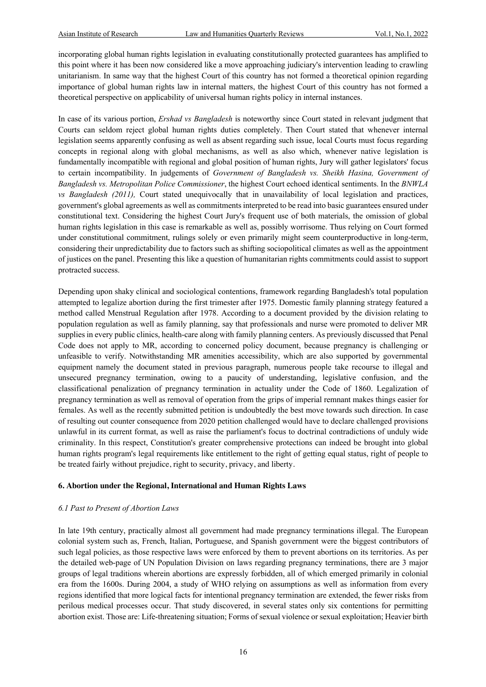incorporating global human rights legislation in evaluating constitutionally protected guarantees has amplified to this point where it has been now considered like a move approaching judiciary's intervention leading to crawling unitarianism. In same way that the highest Court of this country has not formed a theoretical opinion regarding importance of global human rights law in internal matters, the highest Court of this country has not formed a theoretical perspective on applicability of universal human rights policy in internal instances.

In case of its various portion, *Ershad vs Bangladesh* is noteworthy since Court stated in relevant judgment that Courts can seldom reject global human rights duties completely. Then Court stated that whenever internal legislation seems apparently confusing as well as absent regarding such issue, local Courts must focus regarding concepts in regional along with global mechanisms, as well as also which, whenever native legislation is fundamentally incompatible with regional and global position of human rights, Jury will gather legislators' focus to certain incompatibility. In judgements of *Government of Bangladesh vs. Sheikh Hasina, Government of Bangladesh vs. Metropolitan Police Commissioner*, the highest Court echoed identical sentiments. In the *BNWLA vs Bangladesh (2011),* Court stated unequivocally that in unavailability of local legislation and practices, government's global agreements as well as commitments interpreted to be read into basic guarantees ensured under constitutional text. Considering the highest Court Jury's frequent use of both materials, the omission of global human rights legislation in this case is remarkable as well as, possibly worrisome. Thus relying on Court formed under constitutional commitment, rulings solely or even primarily might seem counterproductive in long-term, considering their unpredictability due to factors such as shifting sociopolitical climates as well as the appointment of justices on the panel. Presenting this like a question of humanitarian rights commitments could assist to support protracted success.

Depending upon shaky clinical and sociological contentions, framework regarding Bangladesh's total population attempted to legalize abortion during the first trimester after 1975. Domestic family planning strategy featured a method called Menstrual Regulation after 1978. According to a document provided by the division relating to population regulation as well as family planning, say that professionals and nurse were promoted to deliver MR supplies in every public clinics, health-care along with family planning centers. As previously discussed that Penal Code does not apply to MR, according to concerned policy document, because pregnancy is challenging or unfeasible to verify. Notwithstanding MR amenities accessibility, which are also supported by governmental equipment namely the document stated in previous paragraph, numerous people take recourse to illegal and unsecured pregnancy termination, owing to a paucity of understanding, legislative confusion, and the classificational penalization of pregnancy termination in actuality under the Code of 1860. Legalization of pregnancy termination as well as removal of operation from the grips of imperial remnant makes things easier for females. As well as the recently submitted petition is undoubtedly the best move towards such direction. In case of resulting out counter consequence from 2020 petition challenged would have to declare challenged provisions unlawful in its current format, as well as raise the parliament's focus to doctrinal contradictions of unduly wide criminality. In this respect, Constitution's greater comprehensive protections can indeed be brought into global human rights program's legal requirements like entitlement to the right of getting equal status, right of people to be treated fairly without prejudice, right to security, privacy, and liberty.

# **6. Abortion under the Regional, International and Human Rights Laws**

# *6.1 Past to Present of Abortion Laws*

In late 19th century, practically almost all government had made pregnancy terminations illegal. The European colonial system such as, French, Italian, Portuguese, and Spanish government were the biggest contributors of such legal policies, as those respective laws were enforced by them to prevent abortions on its territories. As per the detailed web-page of UN Population Division on laws regarding pregnancy terminations, there are 3 major groups of legal traditions wherein abortions are expressly forbidden, all of which emerged primarily in colonial era from the 1600s. During 2004, a study of WHO relying on assumptions as well as information from every regions identified that more logical facts for intentional pregnancy termination are extended, the fewer risks from perilous medical processes occur. That study discovered, in several states only six contentions for permitting abortion exist. Those are: Life-threatening situation; Forms of sexual violence or sexual exploitation; Heavier birth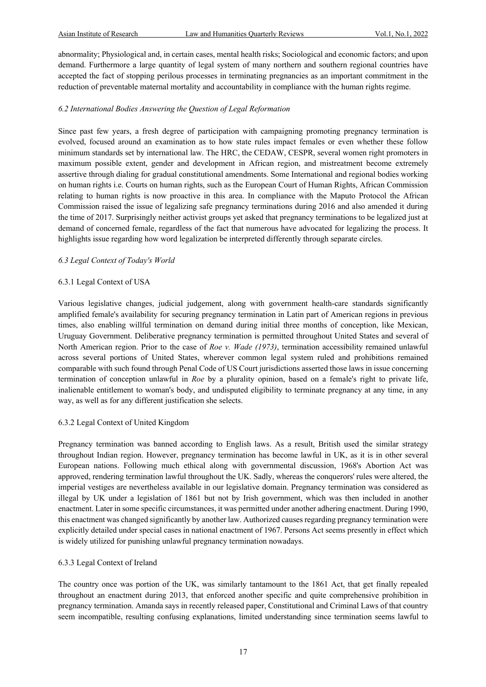abnormality; Physiological and, in certain cases, mental health risks; Sociological and economic factors; and upon demand. Furthermore a large quantity of legal system of many northern and southern regional countries have accepted the fact of stopping perilous processes in terminating pregnancies as an important commitment in the reduction of preventable maternal mortality and accountability in compliance with the human rights regime.

# *6.2 International Bodies Answering the Question of Legal Reformation*

Since past few years, a fresh degree of participation with campaigning promoting pregnancy termination is evolved, focused around an examination as to how state rules impact females or even whether these follow minimum standards set by international law. The HRC, the CEDAW, CESPR, several women right promoters in maximum possible extent, gender and development in African region, and mistreatment become extremely assertive through dialing for gradual constitutional amendments. Some International and regional bodies working on human rights i.e. Courts on human rights, such as the European Court of Human Rights, African Commission relating to human rights is now proactive in this area. In compliance with the Maputo Protocol the African Commission raised the issue of legalizing safe pregnancy terminations during 2016 and also amended it during the time of 2017. Surprisingly neither activist groups yet asked that pregnancy terminations to be legalized just at demand of concerned female, regardless of the fact that numerous have advocated for legalizing the process. It highlights issue regarding how word legalization be interpreted differently through separate circles.

# *6.3 Legal Context of Today's World*

# 6.3.1 Legal Context of USA

Various legislative changes, judicial judgement, along with government health-care standards significantly amplified female's availability for securing pregnancy termination in Latin part of American regions in previous times, also enabling willful termination on demand during initial three months of conception, like Mexican, Uruguay Government. Deliberative pregnancy termination is permitted throughout United States and several of North American region. Prior to the case of *Roe v. Wade (1973)*, termination accessibility remained unlawful across several portions of United States, wherever common legal system ruled and prohibitions remained comparable with such found through Penal Code of US Court jurisdictions asserted those laws in issue concerning termination of conception unlawful in *Roe* by a plurality opinion, based on a female's right to private life, inalienable entitlement to woman's body, and undisputed eligibility to terminate pregnancy at any time, in any way, as well as for any different justification she selects.

# 6.3.2 Legal Context of United Kingdom

Pregnancy termination was banned according to English laws. As a result, British used the similar strategy throughout Indian region. However, pregnancy termination has become lawful in UK, as it is in other several European nations. Following much ethical along with governmental discussion, 1968's Abortion Act was approved, rendering termination lawful throughout the UK. Sadly, whereas the conquerors' rules were altered, the imperial vestiges are nevertheless available in our legislative domain. Pregnancy termination was considered as illegal by UK under a legislation of 1861 but not by Irish government, which was then included in another enactment. Later in some specific circumstances, it was permitted under another adhering enactment. During 1990, this enactment was changed significantly by another law. Authorized causes regarding pregnancy termination were explicitly detailed under special cases in national enactment of 1967. Persons Act seems presently in effect which is widely utilized for punishing unlawful pregnancy termination nowadays.

# 6.3.3 Legal Context of Ireland

The country once was portion of the UK, was similarly tantamount to the 1861 Act, that get finally repealed throughout an enactment during 2013, that enforced another specific and quite comprehensive prohibition in pregnancy termination. Amanda says in recently released paper, Constitutional and Criminal Laws of that country seem incompatible, resulting confusing explanations, limited understanding since termination seems lawful to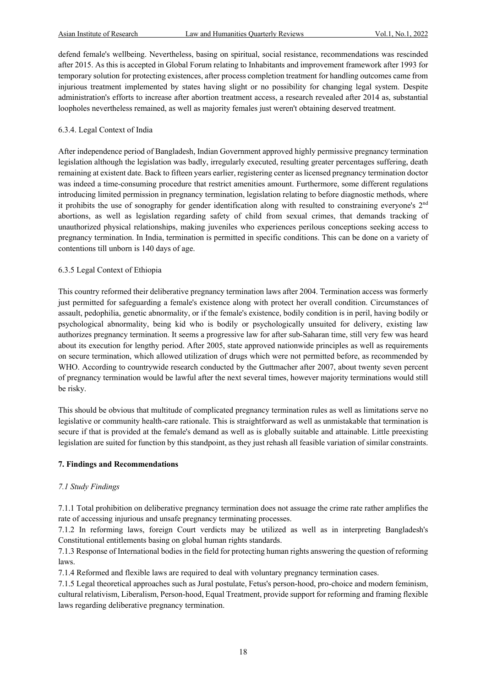defend female's wellbeing. Nevertheless, basing on spiritual, social resistance, recommendations was rescinded after 2015. As this is accepted in Global Forum relating to Inhabitants and improvement framework after 1993 for temporary solution for protecting existences, after process completion treatment for handling outcomes came from injurious treatment implemented by states having slight or no possibility for changing legal system. Despite administration's efforts to increase after abortion treatment access, a research revealed after 2014 as, substantial loopholes nevertheless remained, as well as majority females just weren't obtaining deserved treatment.

# 6.3.4. Legal Context of India

After independence period of Bangladesh, Indian Government approved highly permissive pregnancy termination legislation although the legislation was badly, irregularly executed, resulting greater percentages suffering, death remaining at existent date. Back to fifteen years earlier, registering center as licensed pregnancy termination doctor was indeed a time-consuming procedure that restrict amenities amount. Furthermore, some different regulations introducing limited permission in pregnancy termination, legislation relating to before diagnostic methods, where it prohibits the use of sonography for gender identification along with resulted to constraining everyone's 2nd abortions, as well as legislation regarding safety of child from sexual crimes, that demands tracking of unauthorized physical relationships, making juveniles who experiences perilous conceptions seeking access to pregnancy termination. In India, termination is permitted in specific conditions. This can be done on a variety of contentions till unborn is 140 days of age.

# 6.3.5 Legal Context of Ethiopia

This country reformed their deliberative pregnancy termination laws after 2004. Termination access was formerly just permitted for safeguarding a female's existence along with protect her overall condition. Circumstances of assault, pedophilia, genetic abnormality, or if the female's existence, bodily condition is in peril, having bodily or psychological abnormality, being kid who is bodily or psychologically unsuited for delivery, existing law authorizes pregnancy termination. It seems a progressive law for after sub-Saharan time, still very few was heard about its execution for lengthy period. After 2005, state approved nationwide principles as well as requirements on secure termination, which allowed utilization of drugs which were not permitted before, as recommended by WHO. According to countrywide research conducted by the Guttmacher after 2007, about twenty seven percent of pregnancy termination would be lawful after the next several times, however majority terminations would still be risky.

This should be obvious that multitude of complicated pregnancy termination rules as well as limitations serve no legislative or community health-care rationale. This is straightforward as well as unmistakable that termination is secure if that is provided at the female's demand as well as is globally suitable and attainable. Little preexisting legislation are suited for function by this standpoint, as they just rehash all feasible variation of similar constraints.

# **7. Findings and Recommendations**

# *7.1 Study Findings*

7.1.1 Total prohibition on deliberative pregnancy termination does not assuage the crime rate rather amplifies the rate of accessing injurious and unsafe pregnancy terminating processes.

7.1.2 In reforming laws, foreign Court verdicts may be utilized as well as in interpreting Bangladesh's Constitutional entitlements basing on global human rights standards.

7.1.3 Response of International bodies in the field for protecting human rights answering the question of reforming laws.

7.1.4 Reformed and flexible laws are required to deal with voluntary pregnancy termination cases.

7.1.5 Legal theoretical approaches such as Jural postulate, Fetus's person-hood, pro-choice and modern feminism, cultural relativism, Liberalism, Person-hood, Equal Treatment, provide support for reforming and framing flexible laws regarding deliberative pregnancy termination.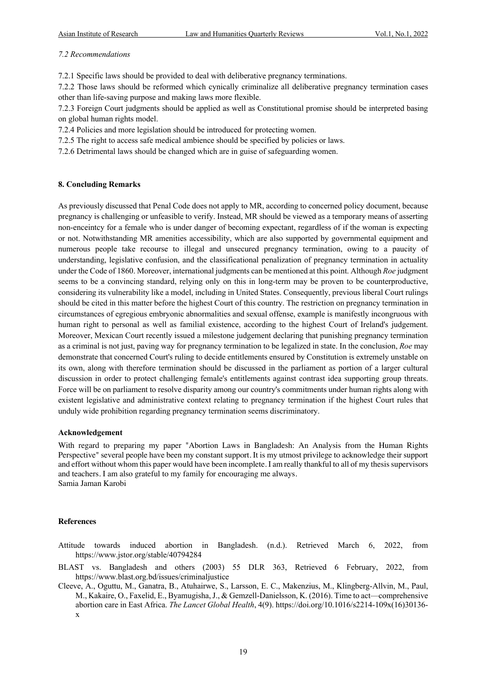### *7.2 Recommendations*

7.2.1 Specific laws should be provided to deal with deliberative pregnancy terminations.

7.2.2 Those laws should be reformed which cynically criminalize all deliberative pregnancy termination cases other than life-saving purpose and making laws more flexible.

7.2.3 Foreign Court judgments should be applied as well as Constitutional promise should be interpreted basing on global human rights model.

7.2.4 Policies and more legislation should be introduced for protecting women.

7.2.5 The right to access safe medical ambience should be specified by policies or laws.

7.2.6 Detrimental laws should be changed which are in guise of safeguarding women.

#### **8. Concluding Remarks**

As previously discussed that Penal Code does not apply to MR, according to concerned policy document, because pregnancy is challenging or unfeasible to verify. Instead, MR should be viewed as a temporary means of asserting non-enceintcy for a female who is under danger of becoming expectant, regardless of if the woman is expecting or not. Notwithstanding MR amenities accessibility, which are also supported by governmental equipment and numerous people take recourse to illegal and unsecured pregnancy termination, owing to a paucity of understanding, legislative confusion, and the classificational penalization of pregnancy termination in actuality under the Code of 1860. Moreover, international judgments can be mentioned at this point. Although *Roe* judgment seems to be a convincing standard, relying only on this in long-term may be proven to be counterproductive, considering its vulnerability like a model, including in United States. Consequently, previous liberal Court rulings should be cited in this matter before the highest Court of this country. The restriction on pregnancy termination in circumstances of egregious embryonic abnormalities and sexual offense, example is manifestly incongruous with human right to personal as well as familial existence, according to the highest Court of Ireland's judgement. Moreover, Mexican Court recently issued a milestone judgement declaring that punishing pregnancy termination as a criminal is not just, paving way for pregnancy termination to be legalized in state. In the conclusion, *Roe* may demonstrate that concerned Court's ruling to decide entitlements ensured by Constitution is extremely unstable on its own, along with therefore termination should be discussed in the parliament as portion of a larger cultural discussion in order to protect challenging female's entitlements against contrast idea supporting group threats. Force will be on parliament to resolve disparity among our country's commitments under human rights along with existent legislative and administrative context relating to pregnancy termination if the highest Court rules that unduly wide prohibition regarding pregnancy termination seems discriminatory.

#### **Acknowledgement**

With regard to preparing my paper "Abortion Laws in Bangladesh: An Analysis from the Human Rights Perspective" several people have been my constant support. It is my utmost privilege to acknowledge their support and effort without whom this paper would have been incomplete. I am really thankful to all of my thesis supervisors and teachers. I am also grateful to my family for encouraging me always. Samia Jaman Karobi

#### **References**

- Attitude towards induced abortion in Bangladesh. (n.d.). Retrieved March 6, 2022, from https://www.jstor.org/stable/40794284
- BLAST vs. Bangladesh and others (2003) 55 DLR 363, Retrieved 6 February, 2022, from https://www.blast.org.bd/issues/criminaljustice
- Cleeve, A., Oguttu, M., Ganatra, B., Atuhairwe, S., Larsson, E. C., Makenzius, M., Klingberg-Allvin, M., Paul, M., Kakaire, O., Faxelid, E., Byamugisha, J., & Gemzell-Danielsson, K. (2016). Time to act—comprehensive abortion care in East Africa. *The Lancet Global Health*, 4(9). https://doi.org/10.1016/s2214-109x(16)30136 x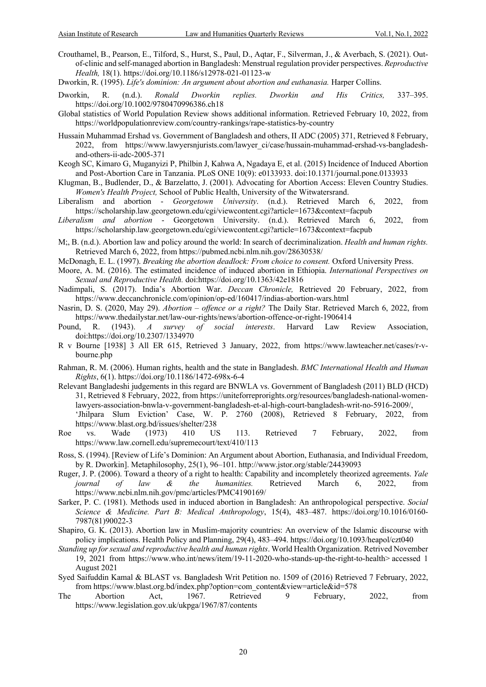- Crouthamel, B., Pearson, E., Tilford, S., Hurst, S., Paul, D., Aqtar, F., Silverman, J., & Averbach, S. (2021). Outof-clinic and self-managed abortion in Bangladesh: Menstrual regulation provider perspectives. *Reproductive Health,* 18(1). https://doi.org/10.1186/s12978-021-01123-w
- Dworkin, R. (1995). *Life's dominion: An argument about abortion and euthanasia*. Harper Collins.
- Dworkin, R. (n.d.). *Ronald Dworkin replies. Dworkin and His Critics,* 337–395. https://doi.org/10.1002/9780470996386.ch18
- Global statistics of World Population Review shows additional information. Retrieved February 10, 2022, from https://worldpopulationreview.com/country-rankings/rape-statistics-by-country
- Hussain Muhammad Ershad vs. Government of Bangladesh and others, II ADC (2005) 371, Retrieved 8 February, 2022, from https://www.lawyersnjurists.com/lawyer\_ci/case/hussain-muhammad-ershad-vs-bangladeshand-others-ii-adc-2005-371
- Keogh SC, Kimaro G, Muganyizi P, Philbin J, Kahwa A, Ngadaya E, et al. (2015) Incidence of Induced Abortion and Post-Abortion Care in Tanzania. PLoS ONE 10(9): e0133933. doi:10.1371/journal.pone.0133933
- Klugman, B., Budlender, D., & Barzelatto, J. (2001). Advocating for Abortion Access: Eleven Country Studies. *Women's Health Project,* School of Public Health, University of the Witwatersrand.
- Liberalism and abortion *Georgetown University*. (n.d.). Retrieved March 6, 2022, from https://scholarship.law.georgetown.edu/cgi/viewcontent.cgi?article=1673&context=facpub
- *Liberalism and abortion*  Georgetown University. (n.d.). Retrieved March 6, 2022, from https://scholarship.law.georgetown.edu/cgi/viewcontent.cgi?article=1673&context=facpub
- M;, B. (n.d.). Abortion law and policy around the world: In search of decriminalization. *Health and human rights.*  Retrieved March 6, 2022, from https://pubmed.ncbi.nlm.nih.gov/28630538/
- McDonagh, E. L. (1997). *Breaking the abortion deadlock: From choice to consent.* Oxford University Press.
- Moore, A. M. (2016). The estimated incidence of induced abortion in Ethiopia. *International Perspectives on Sexual and Reproductive Health.* doi:https://doi.org/10.1363/42e1816
- Nadimpali, S. (2017). India's Abortion War. *Deccan Chronicle,* Retrieved 20 February, 2022, from https://www.deccanchronicle.com/opinion/op-ed/160417/indias-abortion-wars.html
- Nasrin, D. S. (2020, May 29). *Abortion – offence or a right?* The Daily Star. Retrieved March 6, 2022, from https://www.thedailystar.net/law-our-rights/news/abortion-offence-or-right-1906414
- Pound, R. (1943). *A survey of social interests*. Harvard Law Review Association, doi:https://doi.org/10.2307/1334970
- R v Bourne [1938] 3 All ER 615, Retrieved 3 January, 2022, from https://www.lawteacher.net/cases/r-vbourne.php
- Rahman, R. M. (2006). Human rights, health and the state in Bangladesh. *BMC International Health and Human Rights*, 6(1). https://doi.org/10.1186/1472-698x-6-4
- Relevant Bangladeshi judgements in this regard are BNWLA vs. Government of Bangladesh (2011) BLD (HCD) 31, Retrieved 8 February, 2022, from https://uniteforreprorights.org/resources/bangladesh-national-womenlawyers-association-bnwla-v-government-bangladesh-et-al-high-court-bangladesh-writ-no-5916-2009/, 'Jhilpara Slum Eviction' Case, W. P. 2760 (2008), Retrieved 8 February, 2022, from https://www.blast.org.bd/issues/shelter/238
- Roe vs. Wade (1973) 410 US 113. Retrieved 7 February, 2022, from https://www.law.cornell.edu/supremecourt/text/410/113
- Ross, S. (1994). [Review of Life's Dominion: An Argument about Abortion, Euthanasia, and Individual Freedom, by R. Dworkin]. Metaphilosophy, 25(1), 96–101. http://www.jstor.org/stable/24439093
- Ruger, J. P. (2006). Toward a theory of a right to health: Capability and incompletely theorized agreements. *Yale journal of law & the humanities.* Retrieved March 6, 2022, from https://www.ncbi.nlm.nih.gov/pmc/articles/PMC4190169/
- Sarker, P. C. (1981). Methods used in induced abortion in Bangladesh: An anthropological perspective. *Social Science & Medicine. Part B: Medical Anthropology*, 15(4), 483–487. https://doi.org/10.1016/0160- 7987(81)90022-3
- Shapiro, G. K. (2013). Abortion law in Muslim-majority countries: An overview of the Islamic discourse with policy implications. Health Policy and Planning, 29(4), 483–494. https://doi.org/10.1093/heapol/czt040
- *Standing up for sexual and reproductive health and human rights*. World Health Organization. Retrived November 19, 2021 from https://www.who.int/news/item/19-11-2020-who-stands-up-the-right-to-health> accessed 1 August 2021
- Syed Saifuddin Kamal & BLAST vs. Bangladesh Writ Petition no. 1509 of (2016) Retrieved 7 February, 2022, from https://www.blast.org.bd/index.php?option=com\_content&view=article&id=578
- The Abortion Act, 1967. Retrieved 9 February, 2022, from https://www.legislation.gov.uk/ukpga/1967/87/contents